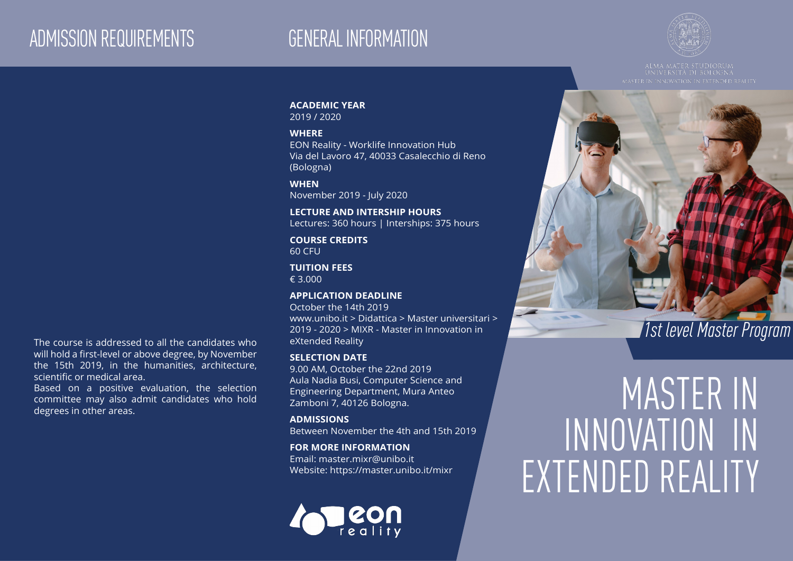## ADMISSION REQUIREMENTS GENERAL INFORMATION



#### **ACADEMIC YEAR**

2019 / 2020

#### **WHERE**

EON Reality - Worklife Innovation Hub Via del Lavoro 47, 40033 Casalecchio di Reno (Bologna)

#### **WHEN**

November 2019 - July 2020

### **LECTURE AND INTERSHIP HOURS**

Lectures: 360 hours | Interships: 375 hours

#### **COURSE CREDITS** 60 CFU

**TUITION FEES** € 3.000

#### **APPLICATION DEADLINE**

www.unibo.it 2 Didattica 2 Master driversitant 2<br>2019 - 2020 > MIXR - Master in Innovation in **1999 - 1999 - 2020 - MIXR - Master in Innovation** in **1999 - 2020 - 2020 - 2020 - 2020 - 2020** - 2020 - 2020 - 2020 - 2020 - 20 October the 14th 2019 www.unibo.it > Didattica > Master universitari > 2019 - 2020 > MIXR - Master in Innovation in eXtended Reality

#### **SELECTION DATE**

9.00 AM, October the 22nd 2019 Aula Nadia Busi, Computer Science and Engineering Department, Mura Anteo Zamboni 7, 40126 Bologna.

#### **ADMISSIONS** Between November the 4th and 15th 2019

#### **FOR MORE INFORMATION**

Email: master.mixr@unibo.it Website: https://master.unibo.it/mixr

## **CON**

# MASTER IN INNOVATION IN EXTENDED REALITY

will hold a first-level or above degree, by November the 15th 2019, in the humanities, architecture, scientific or medical area.

Based on a positive evaluation, the selection committee may also admit candidates who hold degrees in other areas.